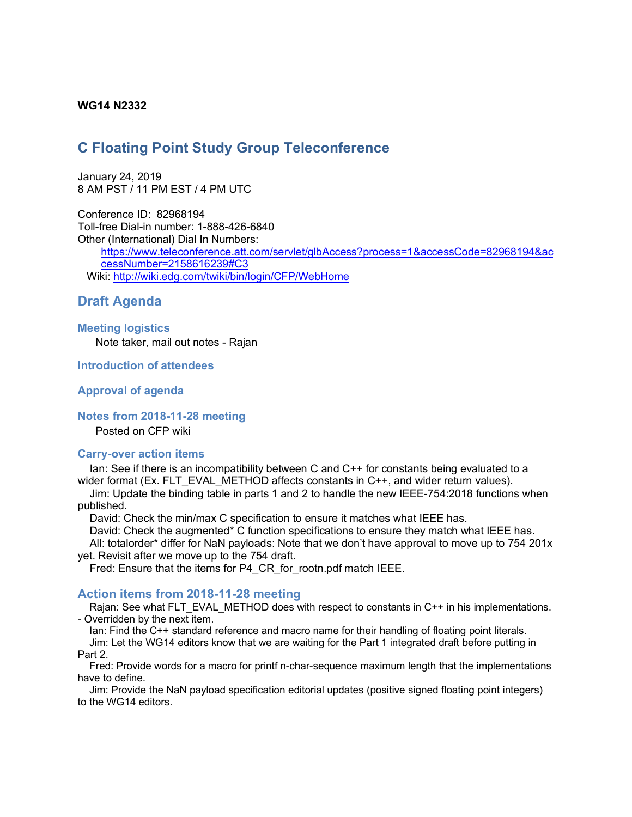### **WG14 N2332**

# **C Floating Point Study Group Teleconference**

January 24, 2019 8 AM PST / 11 PM EST / 4 PM UTC

Conference ID: 82968194 Toll-free Dial-in number: 1-888-426-6840 Other (International) Dial In Numbers:

https://www.teleconference.att.com/servlet/glbAccess?process=1&accessCode=82968194&ac cessNumber=2158616239#C3 Wiki: http://wiki.edg.com/twiki/bin/login/CFP/WebHome

# **Draft Agenda**

#### **Meeting logistics**

Note taker, mail out notes - Rajan

#### **Introduction of attendees**

#### **Approval of agenda**

#### **Notes from 2018-11-28 meeting**

Posted on CFP wiki

#### **Carry-over action items**

Ian: See if there is an incompatibility between C and C++ for constants being evaluated to a wider format (Ex. FLT EVAL METHOD affects constants in C++, and wider return values).

Jim: Update the binding table in parts 1 and 2 to handle the new IEEE-754:2018 functions when published.

David: Check the min/max C specification to ensure it matches what IEEE has.

David: Check the augmented\* C function specifications to ensure they match what IEEE has. All: totalorder\* differ for NaN payloads: Note that we don't have approval to move up to 754 201x yet. Revisit after we move up to the 754 draft.

Fred: Ensure that the items for P4\_CR\_for\_rootn.pdf match IEEE.

#### **Action items from 2018-11-28 meeting**

Rajan: See what FLT\_EVAL\_METHOD does with respect to constants in C++ in his implementations. - Overridden by the next item.

Ian: Find the C++ standard reference and macro name for their handling of floating point literals. Jim: Let the WG14 editors know that we are waiting for the Part 1 integrated draft before putting in Part 2.

Fred: Provide words for a macro for printf n-char-sequence maximum length that the implementations have to define.

Jim: Provide the NaN payload specification editorial updates (positive signed floating point integers) to the WG14 editors.